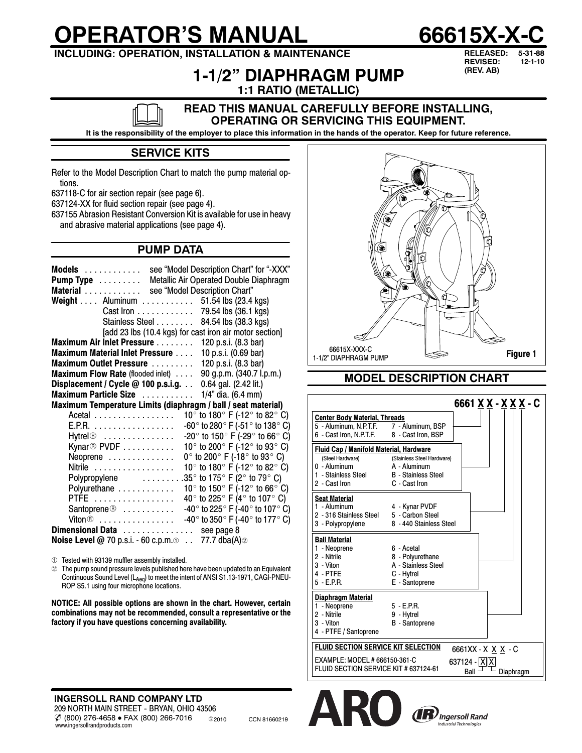# **OPERATOR'S MANUAL 66615X-X-C**



# **INCLUDING: OPERATION, INSTALLATION & MAINTENANCE**

# **1-1/2" DIAPHRAGM PUMP**

**RELEASED: 5-31-88 REVISED: 12-1-10 (REV. AB)**

**1:1 RATIO (METALLIC)**

#### **READ THIS MANUAL CAREFULLY BEFORE INSTALLING, OPERATING OR SERVICING THIS EQUIPMENT.**

**It is the responsibility of the employer to place this information in the hands of the operator. Keep for future reference.**

## **SERVICE KITS**

Refer to the Model Description Chart to match the pump material options.

637118-C for air section repair (see page 6).

637124-XX for fluid section repair (see page 4).

637155 Abrasion Resistant Conversion Kit is available for use in heavy and abrasive material applications (see page 4).

## **PUMP DATA**

| see "Model Description Chart" for "-XXX"<br>Models<br>Metallic Air Operated Double Diaphragm<br>Pump Type<br>see "Model Description Chart"<br>Material<br>51.54 lbs (23.4 kgs)<br>Weight Aluminum<br>.<br>79.54 lbs (36.1 kgs)<br>Cast Iron<br>Stainless Steel<br>84.54 lbs (38.3 kgs)<br>[add 23 lbs (10.4 kgs) for cast iron air motor section] |
|---------------------------------------------------------------------------------------------------------------------------------------------------------------------------------------------------------------------------------------------------------------------------------------------------------------------------------------------------|
| Maximum Air Inlet Pressure<br>120 p.s.i. (8.3 bar)                                                                                                                                                                                                                                                                                                |
| <b>Maximum Material Inlet Pressure </b><br>10 p.s.i. (0.69 bar)                                                                                                                                                                                                                                                                                   |
| 120 p.s.i. (8.3 bar)<br>Maximum Outlet Pressure                                                                                                                                                                                                                                                                                                   |
| 90 g.p.m. (340.7 l.p.m.)<br><b>Maximum Flow Rate</b> (flooded inlet)                                                                                                                                                                                                                                                                              |
| Displacement / Cycle @ 100 p.s.i.g.<br>0.64 gal. (2.42 lit.)                                                                                                                                                                                                                                                                                      |
| 1/4" dia. (6.4 mm)<br>Maximum Particle Size                                                                                                                                                                                                                                                                                                       |
| Maximum Temperature Limits (diaphragm / ball / seat material)                                                                                                                                                                                                                                                                                     |
| 10 $^{\circ}$ to 180 $^{\circ}$ F (-12 $^{\circ}$ to 82 $^{\circ}$ C)<br>Acetal                                                                                                                                                                                                                                                                   |
| -60 $^{\circ}$ to 280 $^{\circ}$ F (-51 $^{\circ}$ to 138 $^{\circ}$ C)<br>E.P.R.                                                                                                                                                                                                                                                                 |
| -20 $^{\circ}$ to 150 $^{\circ}$ F (-29 $^{\circ}$ to 66 $^{\circ}$ C)<br>Hytrel®                                                                                                                                                                                                                                                                 |
| 10 $\degree$ to 200 $\degree$ F (-12 $\degree$ to 93 $\degree$ C)<br>Kynar <sup>®</sup> PVDF $\ldots \ldots \ldots$                                                                                                                                                                                                                               |
| 0 $\degree$ to 200 $\degree$ F (-18 $\degree$ to 93 $\degree$ C)<br>Neoprene                                                                                                                                                                                                                                                                      |
| 10° to 180° F (-12° to 82° C)<br>Nitrile                                                                                                                                                                                                                                                                                                          |
| 35 $\degree$ to 175 $\degree$ F (2 $\degree$ to 79 $\degree$ C)<br>Polypropylene                                                                                                                                                                                                                                                                  |
| 10 $^{\circ}$ to 150 $^{\circ}$ F (-12 $^{\circ}$ to 66 $^{\circ}$ C)<br>Polyurethane                                                                                                                                                                                                                                                             |
| 40 $^{\circ}$ to 225 $^{\circ}$ F (4 $^{\circ}$ to 107 $^{\circ}$ C)<br>PTFE                                                                                                                                                                                                                                                                      |
| -40 $^{\circ}$ to 225 $^{\circ}$ F (-40 $^{\circ}$ to 107 $^{\circ}$ C)<br>$S$ antoprene $\circledcirc$                                                                                                                                                                                                                                           |
| $-40^{\circ}$ to 350° F (-40° to 177° C)<br>$V$ iton $\circledcirc$                                                                                                                                                                                                                                                                               |
| Dimensional Data see page 8                                                                                                                                                                                                                                                                                                                       |
| <b>Noise Level @</b> 70 p.s.i. - 60 c.p.m. $\circ$ 77.7 dba(A) $\circ$                                                                                                                                                                                                                                                                            |

Tested with 93139 muffler assembly installed.

 The pump sound pressure levels published here have been updated to an Equivalent Continuous Sound Level (L<sub>Aeq</sub>) to meet the intent of ANSI S1.13-1971, CAGI-PNEU-<br>ROP S5.1 using four microphone locations.

**NOTICE: All possible options are shown in the chart. However, certain combinations may not be recommended, consult a representative or the factory if you have questions concerning availability.**

 $\%$  (800) 276-4658 • FAX (800) 266-7016 © 2010 CCN 81660219 **INGERSOLL RAND COMPANY LTD** 209 NORTH MAIN STREET - BRYAN, OHIO 43506 www.ingersollrandproducts.com



#### **MODEL DESCRIPTION CHART**

|                                                                                                                                | 6661 X X - X X X - C                                                                  |
|--------------------------------------------------------------------------------------------------------------------------------|---------------------------------------------------------------------------------------|
| <b>Center Body Material, Threads</b><br>5 - Aluminum, N.P.T.F. 7 - Aluminum, BSP<br>6 - Cast Iron, N.P.T.F. 8 - Cast Iron, BSP |                                                                                       |
| <b>Fluid Cap / Manifold Material, Hardware</b><br>(Steel Hardware)<br>0 - Aluminum<br>1 - Stainless Steel<br>2 - Cast Iron     | (Stainless Steel Hardware)<br>A - Aluminum<br>B - Stainless Steel<br>C - Cast Iron    |
| <b>Seat Material</b><br>1 - Aluminum<br>2 - 316 Stainless Steel 5 - Carbon Steel<br>3 - Polypropylene                          | 4 - Kynar PVDF<br>8 - 440 Stainless Steel                                             |
| <b>Ball Material</b><br>1 - Neoprene<br>2 - Nitrile<br>3 - Viton<br>4 - PTFE<br>$5 - E.P.R.$                                   | 6 - Acetal<br>8 - Polyurethane<br>A - Stainless Steel<br>C - Hytrel<br>E - Santoprene |
| Diaphragm Material<br>1 - Neoprene<br>2 - Nitrile<br>3 - Viton<br>4 - PTFE / Santoprene                                        | $5 - FPR$<br>9 - Hytrel<br><b>B</b> - Santoprene                                      |
| <b>FLUID SECTION SERVICE KIT SELECTION</b><br>EXAMPLE: MODEL # 666150-361-C<br>FLUID SECTION SERVICE KIT # 637124-61           | 6661XX - X <u>X X</u> - C<br>$637124 -  X  X $<br>Ball<br>Diaphragm                   |



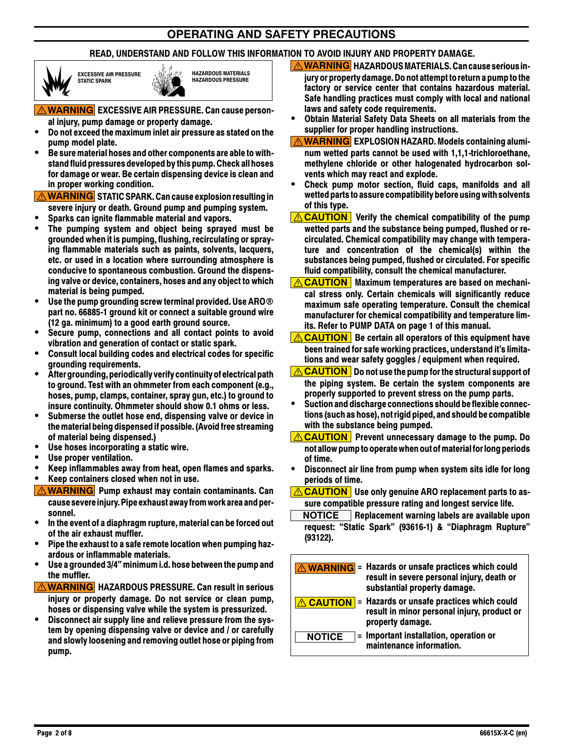## **OPERATING AND SAFETY PRECAUTIONS**

## **READ, UNDERSTAND AND FOLLOW THIS INFORMATION TO AVOID INJURY AND PROPERTY DAMAGE.**



**EXCESSIVE AIR PRESSURE STATIC SPARK**



**WARNING EXCESSIVE AIR PRESSURE. Can cause person-**

- **al injury, pump damage or property damage.** S **Do not exceed the maximum inlet air pressure as stated on the pump model plate.**
- Be sure material hoses and other components are able to with**standfluid pressures developed bythis pump. Check all hoses for damage or wear. Be certain dispensing device is clean and in proper working condition.**

**WARNING STATIC SPARK. Can cause explosion resulting in severe injury or death. Ground pump and pumping system.**

- Sparks can ignite flammable material and vapors.
- The pumping system and object being sprayed must be **grounded when it is pumping, flushing, recirculating or spraying flammable materials such as paints, solvents, lacquers, etc. or used in a location where surrounding atmosphere is conducive to spontaneous combustion. Ground the dispensing valve or device, containers, hoses and any object to which material is being pumped.**
- Use the pump grounding screw terminal provided. Use ARO<sup>®</sup> **part no. 66885-1 ground kit or connect a suitable ground wire (12 ga. minimum) to a good earth ground source.**
- Secure pump, connections and all contact points to avoid **vibration and generation of contact or static spark.**
- **Consult local building codes and electrical codes for specific grounding requirements.**
- S **After grounding, periodicallyverifycontinuity of electrical path to ground. Test with an ohmmeter from each component (e.g., hoses, pump, clamps, container, spray gun, etc.) to ground to insure continuity. Ohmmeter should show 0.1 ohms or less.**
- Submerse the outlet hose end, dispensing valve or device in **the material being dispensed if possible.(Avoid free streaming of material being dispensed.)**
- Use hoses incorporating a static wire.
- Use proper ventilation.
- S **Keep inflammables away from heat, open flames and sparks.**
- S **Keep containers closed when not in use.**
- **WARNING Pump exhaust may contain contaminants. Can causesevereinjury. Pipeexhaust awayfromworkareaand personnel.**
- In the event of a diaphragm rupture, material can be forced out **of the air exhaust muffler.**
- Pipe the exhaust to a safe remote location when pumping haz**ardous or inflammable materials.**
- Use a grounded 3/4" minimum i.d. hose between the pump and **the muffler.**
- **WARNING HAZARDOUS PRESSURE. Can result in serious injury or property damage. Do not service or clean pump, hoses or dispensing valve while the system is pressurized.**
- Disconnect air supply line and relieve pressure from the sys**tem by opening dispensing valve or device and / or carefully and slowly loosening and removing outlet hose or piping from pump.**
- *A* **WARNING HAZARDOUS MATERIALS. Can cause serious injury or property damage. Do not attemptto return a pumptothe factory or service center that contains hazardous material. Safe handling practices must comply with local and national laws and safety code requirements.**
- **Obtain Material Safety Data Sheets on all materials from the supplier for proper handling instructions.**
- *A* **WARNING EXPLOSION HAZARD. Models containing aluminum wetted parts cannot be used with 1,1,1-trichloroethane, methylene chloride or other halogenated hydrocarbon solvents which may react and explode.**
- Check pump motor section, fluid caps, manifolds and all **wetted partsto assurecompatibility before usingwith solvents of this type.**
- **<u>A CAUTION</u>** Verify the chemical compatibility of the pump **wetted parts and the substance being pumped, flushed or recirculated. Chemical compatibility may change with temperature and concentration of the chemical(s) within the substances being pumped, flushed or circulated. For specific fluid compatibility, consult the chemical manufacturer.**
- *A* **CAUTION** Maximum temperatures are based on mechani**cal stress only. Certain chemicals will significantly reduce maximum safe operating temperature. Consult the chemical manufacturer for chemical compatibility and temperature limits. Refer to PUMP DATA on page 1 of this manual.**
- **<u>A</u> CAUTION** Be certain all operators of this equipment have **been trained for safe working practices, understand it's limitations and wear safety goggles / equipment when required.**
- **CAUTION Do not use the pump for the structural support of the piping system. Be certain the system components are properly supported to prevent stress on the pump parts.**
- **•** Suction and discharge connections should be flexible connec**tions(such as hose), not rigid piped, and should be compatible with the substance being pumped.**
- **CAUTION** Prevent unnecessary damage to the pump. Do **not allow pumpto operatewhen out ofmaterialfor long periods of time.**
- **•** Disconnect air line from pump when system sits idle for long **periods of time.**
- **CAUTION Use only genuine ARO replacement parts to assure compatible pressure rating and longest service life.**
- **NOTICE Replacement warning labels are available upon request: "Static Spark" (93616-1) & "Diaphragm Rupture" (93122).**

|               | <b>A WARNING</b> = Hazards or unsafe practices which could<br>result in severe personal injury, death or<br>substantial property damage. |
|---------------|------------------------------------------------------------------------------------------------------------------------------------------|
|               | <b>CAUTION</b> = Hazards or unsafe practices which could<br>result in minor personal injury, product or<br>property damage.              |
| <b>NOTICE</b> | = Important installation, operation or<br>maintenance information.                                                                       |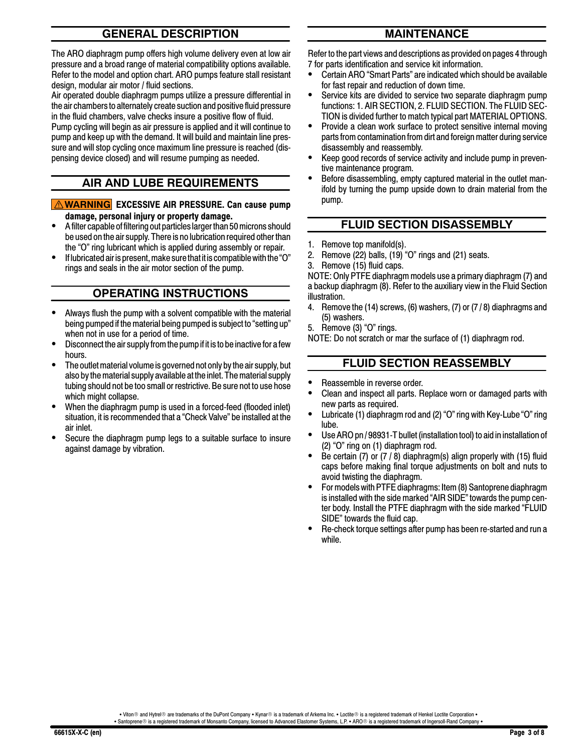## **GENERAL DESCRIPTION**

The ARO diaphragm pump offers high volume delivery even at low air pressure and a broad range of material compatibility options available. Refer to the model and option chart. ARO pumps feature stall resistant design, modular air motor / fluid sections.

Air operated double diaphragm pumps utilize a pressure differential in the air chambers to alternately create suction and positive fluid pressure in the fluid chambers, valve checks insure a positive flow of fluid. Pump cycling will begin as air pressure is applied and it will continue to pump and keep up with the demand. It will build and maintain line pressure and will stop cycling once maximum line pressure is reached (dispensing device closed) and will resume pumping as needed.

## **AIR AND LUBE REQUIREMENTS**

#### **WARNING EXCESSIVE AIR PRESSURE. Can cause pump damage, personal injury or property damage.**

- A filter capable of filtering out particles larger than 50 microns should be used on the air supply. There is no lubrication required other than the "O" ring lubricant which is applied during assembly or repair.
- If lubricated air is present, make sure that it is compatible with the "O" rings and seals in the air motor section of the pump.

## **OPERATING INSTRUCTIONS**

- Always flush the pump with a solvent compatible with the material being pumped if the material being pumped is subject to "setting up" when not in use for a period of time.
- Disconnect the air supply from the pump if it is to be inactive for a few hours.
- The outlet material volume is governed not only by the air supply, but also by the material supply available at the inlet. The material supply tubing should not be too small or restrictive. Be sure not to use hose which might collapse.
- When the diaphragm pump is used in a forced-feed (flooded inlet) situation, it is recommended that a "Check Valve" be installed at the air inlet.
- Secure the diaphragm pump legs to a suitable surface to insure against damage by vibration.

## **MAINTENANCE**

Refer to the part views and descriptions as provided on pages 4 through 7 for parts identification and service kit information.

- Certain ARO "Smart Parts" are indicated which should be available for fast repair and reduction of down time.
- Service kits are divided to service two separate diaphragm pump functions: 1. AIR SECTION, 2. FLUID SECTION. The FLUID SEC-TION is divided further to match typical part MATERIAL OPTIONS.
- Provide a clean work surface to protect sensitive internal moving parts from contamination from dirt and foreign matter during service disassembly and reassembly.
- Keep good records of service activity and include pump in preventive maintenance program.
- Before disassembling, empty captured material in the outlet manifold by turning the pump upside down to drain material from the pump.

## **FLUID SECTION DISASSEMBLY**

- 1. Remove top manifold(s).
- 2. Remove (22) balls,  $(19)^6$  "O" rings and (21) seats.
- 3. Remove (15) fluid caps.

NOTE: Only PTFE diaphragm models use a primary diaphragm (7) and a backup diaphragm (8). Refer to the auxiliary view in the Fluid Section illustration.

- 4. Remove the (14) screws, (6) washers, (7) or (7 / 8) diaphragms and (5) washers.
- 5. Remove (3) "O" rings.

NOTE: Do not scratch or mar the surface of (1) diaphragm rod.

## **FLUID SECTION REASSEMBLY**

- Reassemble in reverse order.
- Clean and inspect all parts. Replace worn or damaged parts with new parts as required.
- Lubricate (1) diaphragm rod and (2) "O" ring with Key-Lube "O" ring lube.
- Use ARO pn / 98931-T bullet (installation tool) to aid in installation of (2) "O" ring on (1) diaphragm rod.
- Be certain (7) or  $(7/8)$  diaphragm(s) align properly with (15) fluid caps before making final torque adjustments on bolt and nuts to avoid twisting the diaphragm.
- For models with PTFE diaphragms: Item (8) Santoprene diaphragm is installed with the side marked "AIR SIDE" towards the pump center body. Install the PTFE diaphragm with the side marked "FLUID SIDE" towards the fluid cap.
- Re-check torque settings after pump has been re-started and run a while.

. Viton ® and Hytrel® are trademarks of the DuPont Company . Kynar® is a trademark of Arkema Inc. . Loctite® is a registered trademark of Henkel Loctite Corporation .

• Santoprene® is a registered trademark of Monsanto Company, licensed to Advanced Elastomer Systems, L.P. • ARO® is a registered trademark of Ingersoll-Rand Company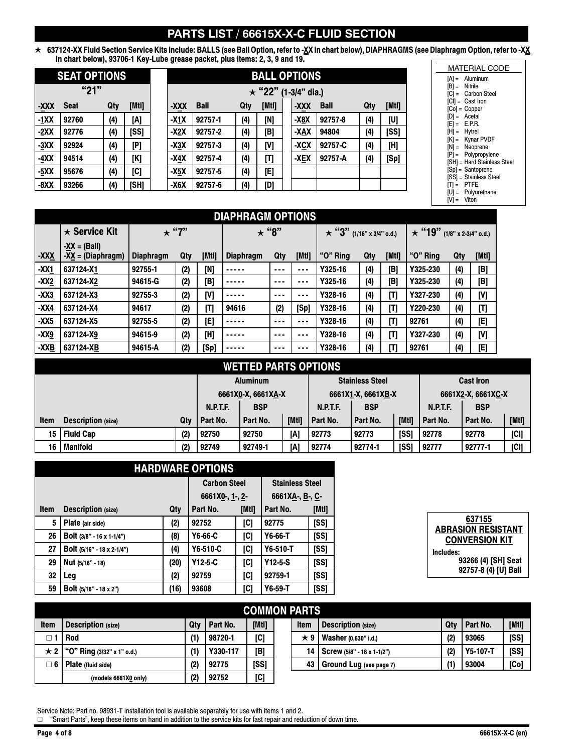# **PARTS LIST / 66615X-X-C FLUID SECTION**

 $\star$  637124-XX Fluid Section Service Kits include: BALLS (see Ball Option, refer to -<u>X</u>X in chart below), DIAPHRAGMS (see Diaphragm Option, refer to -X<u>X</u> **in chart below), 93706-1 Key-Lube grease packet, plus items: 2, 3, 9 and 19.**

|        | <b>SEAT OPTIONS</b> |     |       |        |             |     | <b>BALL</b>  |
|--------|---------------------|-----|-------|--------|-------------|-----|--------------|
|        | "21"                |     |       |        |             |     | $\star$ "22" |
| -XXX   | <b>Seat</b>         | Qty | [Mtl] | -XXX   | <b>Ball</b> | Qty | <b>[Mtl</b>  |
| $-1XX$ | 92760               | (4) | [A]   | $-X1X$ | 92757-1     | (4) | [N]          |
| $-2XX$ | 92776               | (4) | [SS]  | $-X2X$ | 92757-2     | (4) | [B]          |
| $-3XX$ | 92924               | (4) | [P]   | $-X3X$ | 92757-3     | (4) | [V]          |
| -4XX   | 94514               | (4) | [K]   | -X4X   | 92757-4     | (4) | [T]          |
| $-5XX$ | 95676               | (4) | [C]   | -X5X   | 92757-5     | (4) | [E]          |
| $-8XX$ | 93266               | (4) | [SH]  | -X6X   | 92757-6     | (4) | [D]          |

|      | <b>SEAT OPTIONS</b> |     |       | <b>BALL OPTIONS</b> |                            |             |     |       |  |      |             |     |       |
|------|---------------------|-----|-------|---------------------|----------------------------|-------------|-----|-------|--|------|-------------|-----|-------|
| "21" |                     |     |       |                     | $\star$ "22" (1-3/4" dia.) |             |     |       |  |      |             |     |       |
| XXX- | <b>Seat</b>         | Qty | [Mtl] |                     | -XXX                       | <b>Ball</b> | Qty | [Mtl] |  | -XXX | <b>Ball</b> | Qty | [Mtl] |
| -1XX | 92760               | (4) | [A]   |                     | $-X1X$                     | 92757-1     | (4) | [N]   |  | -X8X | 92757-8     | (4) | [U]   |
| -2XX | 92776               | (4) | [SS]  |                     | -X2X                       | 92757-2     | (4) | [B]   |  | -XAX | 94804       | (4) | [SS]  |
| -3XX | 92924               | (4) | [P]   |                     | -X3X                       | 92757-3     | (4) | [V]   |  | -XCX | 92757-C     | (4) | [H]   |
| -4XX | 94514               | (4) | [K]   |                     | $-X4X$                     | 92757-4     | (4) | [T]   |  | -XEX | 92757-A     | (4) | [Sp]  |
| -5XX | 95676               | (4) | [C]   |                     | -X5X                       | 92757-5     | (4) | [E]   |  |      |             |     |       |
| -8XX | 93266               | (4) | [SH]  |                     | $-X6X$                     | 92757-6     | (4) | וסו   |  |      |             |     |       |

| <b>DNS</b> |             |     |       |  |  |  |  |  |
|------------|-------------|-----|-------|--|--|--|--|--|
| ' dia.)    |             |     |       |  |  |  |  |  |
| ΩŇ         | <b>Ball</b> | Qty | [Mtl] |  |  |  |  |  |
| ΙX         | 92757-8     | (4) | [U]   |  |  |  |  |  |
| ١X         | 94804       | (4) | [SS]  |  |  |  |  |  |
| X,         | 92757-C     | (4) | [H]   |  |  |  |  |  |
| ïΧ         | 92757-A     | (4) | [Sp]  |  |  |  |  |  |
|            |             |     |       |  |  |  |  |  |
|            |             |     |       |  |  |  |  |  |

|                 | <b>MATERIAL CODE</b>        |
|-----------------|-----------------------------|
|                 | $[A] =$ Aluminum            |
| $[B] =$ Nitrile |                             |
|                 | [C] = Carbon Steel          |
|                 | [CI] = Cast Iron            |
|                 | $[Co] = Copper$             |
|                 | $[D] = Acetal$              |
|                 | $[E] = E.P.R.$              |
| [H] = Hytrel    |                             |
|                 | $[K] =$ Kynar PVDF          |
|                 | $[N] =$ Neoprene            |
|                 | $[P] =$ Polypropylene       |
|                 | [SH] = Hard Stainless Steel |
|                 | [Sp] = Santoprene           |
|                 | [SS] = Stainless Steel      |
| $[T] = PTFE$    |                             |
|                 | [U] = Polyurethane          |
| $[V] =$ Viton   |                             |

|             | <b>DIAPHRAGM OPTIONS</b>                          |                  |     |       |                  |          |         |                                 |     |       |                                   |     |       |
|-------------|---------------------------------------------------|------------------|-----|-------|------------------|----------|---------|---------------------------------|-----|-------|-----------------------------------|-----|-------|
|             | $\star$ Service Kit                               | $\star$ "7"      |     |       | $\star$ "8"      |          |         | $\star$ "3" (1/16" x 3/4" o.d.) |     |       | $\star$ "19" (1/8" x 2-3/4" o.d.) |     |       |
| <u>-XXX</u> | $-XX = (Ball)$<br>$-X\underline{X} = (Diaphragm)$ | <b>Diaphragm</b> | Qty | [Mtl] | <b>Diaphragm</b> | Qty      | [Mtl]   | "O" Ring                        | Qty | [Mtl] | "O" Ring                          | Qty | [Mtl] |
| $-XX1$      | 637124-X1                                         | 92755-1          | (2) | [N]   |                  | $\cdots$ |         | Y325-16                         | (4) | [B]   | Y325-230                          | (4) | [B]   |
| $-XX2$      | 637124-X2                                         | 94615-G          | (2) | [B]   | -----            | ---      |         | Y325-16                         | (4) | [B]   | Y325-230                          | (4) | [B]   |
| $-XX3$      | 637124-X3                                         | 92755-3          | (2) | [V]   | .                | $\cdots$ | $- - -$ | Y328-16                         | (4) | [T]   | Y327-230                          | (4) | [V]   |
| $-XX4$      | 637124-X4                                         | 94617            | (2) | [T]   | 94616            | (2)      | [Sp]    | Y328-16                         | (4) | [T]   | Y220-230                          | (4) | [T]   |
| $-XX5$      | 637124-X5                                         | 92755-5          | (2) | [E]   | .                | $\cdots$ | $- - -$ | Y328-16                         | (4) | [T]   | 92761                             | (4) | [E]   |
| $-XX9$      | 637124-X9                                         | 94615-9          | (2) | [H]   | -----            | ---      |         | Y328-16                         | (4) | [T]   | Y327-230                          | (4) | [V]   |
| $-XXB$      | 637124-XB                                         | 94615-A          | (2) | [Sp]  | -----            | ---      | ---     | Y328-16                         | (4) | [T]   | 92761                             | (4) | [E]   |

## **WETTED PARTS OPTIONS**

|      |                           |     |                               | <b>Aluminum</b> |       |                    | <b>Stainless Steel</b> |             | <b>Cast Iron</b>              |          |        |
|------|---------------------------|-----|-------------------------------|-----------------|-------|--------------------|------------------------|-------------|-------------------------------|----------|--------|
|      |                           |     | 6661X0-X, 6661XA-X            |                 |       | 6661X1-X, 6661XB-X |                        |             | 6661X2-X, 6661XC-X            |          |        |
|      |                           |     | <b>BSP</b><br><b>N.P.T.F.</b> |                 |       | <b>N.P.T.F.</b>    | <b>BSP</b>             |             | <b>BSP</b><br><b>N.P.T.F.</b> |          |        |
| Item | <b>Description</b> (size) | Qtv | Part No.                      | Part No.        | [Mtl] | Part No.           | Part No.               | [Mtl]       | Part No.                      | Part No. | [[Mtl] |
| 15   | <b>Fluid Cap</b>          | (2) | 92750                         | 92750           | [A]   | 92773              | 92773                  | <b>ISSI</b> | 92778                         | 92778    | [CI]   |
| 16   | Manifold                  | (2) | 92749                         | 92749-1         | [A]   | 92774              | 92774-1                | [SS]        | 92777                         | 92777-1  | [CI]   |

|             | <b>HARDWARE OPTIONS</b>    |                     |                    |                        |                 |       |  |  |  |  |
|-------------|----------------------------|---------------------|--------------------|------------------------|-----------------|-------|--|--|--|--|
|             |                            | <b>Carbon Steel</b> |                    | <b>Stainless Steel</b> |                 |       |  |  |  |  |
|             |                            |                     | 6661X0-, $1 - 2$ - |                        | 6661XA-, B-, C- |       |  |  |  |  |
| <b>Item</b> | <b>Description (size)</b>  | Qty                 | Part No.           | [Mtl]                  | Part No.        | [Mtl] |  |  |  |  |
| 5           | Plate (air side)           | (2)                 | 92752              | [C]                    | 92775           | [SS]  |  |  |  |  |
| 26          | Bolt (3/8" - 16 x 1-1/4")  | (8)                 | Y6-66-C            | [C]                    | Y6-66-T         | [SS]  |  |  |  |  |
| 27          | Bolt (5/16" - 18 x 2-1/4") | (4)                 | Y6-510-C           | [C]                    | Y6-510-T        | [SS]  |  |  |  |  |
| 29          | Nut (5/16" - 18)           | (20)                | $Y12-5-C$          | [C]                    | $Y12 - 5-S$     | [SS]  |  |  |  |  |
| 32          | Leg                        | (2)                 | 92759              | [C]                    | 92759-1         | [SS]  |  |  |  |  |
| 59          | Bolt (5/16" - 18 x 2")     | (16)                | 93608              | [C]                    | $Y6-59-T$       | [SS]  |  |  |  |  |

| 637155                    |
|---------------------------|
|                           |
| <b>ABRASION RESISTANT</b> |
|                           |
| <b>CONVERSION KIT</b>     |
|                           |
| Includes:                 |
| 93266 (4) [SH] Seat       |
|                           |
| 92757-8 (4) [U] Ball      |
|                           |

|             | <b>COMMON PARTS</b>        |     |          |       |  |             |                                     |              |                 |        |  |
|-------------|----------------------------|-----|----------|-------|--|-------------|-------------------------------------|--------------|-----------------|--------|--|
| <b>Item</b> | <b>Description (size)</b>  | Qtv | Part No. | [Mtl] |  | <b>Item</b> | <b>Description (size)</b>           | Qtv          | Part No.        | [[Mt]] |  |
|             | <b>Rod</b>                 | (1) | 98720-1  | [C]   |  |             | Washer (0.630" i.d.)                | (2)          | 93065           | [SS]   |  |
| ★ 2丨        | "O" Ring (3/32" x 1" o.d.) | (1) | Y330-117 | [B]   |  | 14          | $\sqrt{$ Screw (5/8" - 18 x 1-1/2") | (2)          | <b>Y5-107-T</b> | [SS]   |  |
| □ 6         | Plate (fluid side)         | (2) | 92775    | [SS]  |  | 43          | Ground Lug (see page 7)             | $\mathbf{H}$ | 93004           | [Co]   |  |
|             | (models 6661X0 only)       | (2) | 92752    | [C]   |  |             |                                     |              |                 |        |  |

Service Note: Part no. 98931-T installation tool is available separately for use with items 1 and 2.<br>□ "Smart Parts", keep these items on hand in addition to the service kits for fast repair and reduction of down time.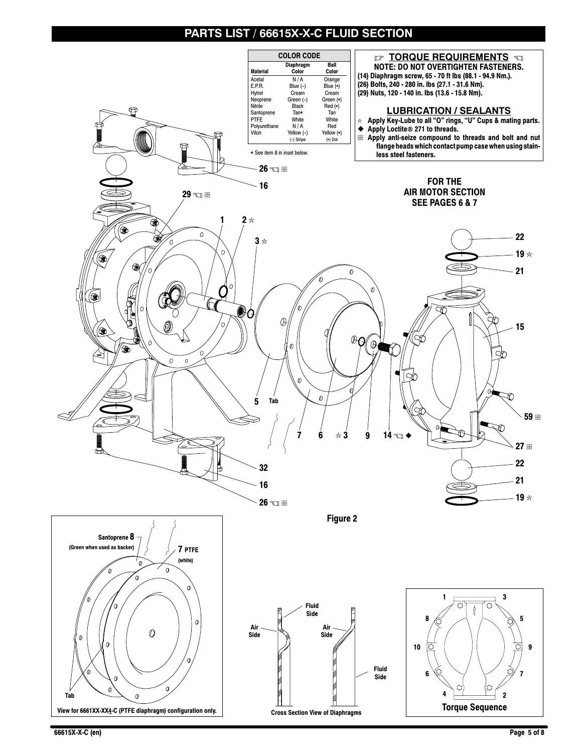# **PARTS LIST / 66615X-X-C FLUID SECTION**



**66615X-X-C (en) Page 5 of 8**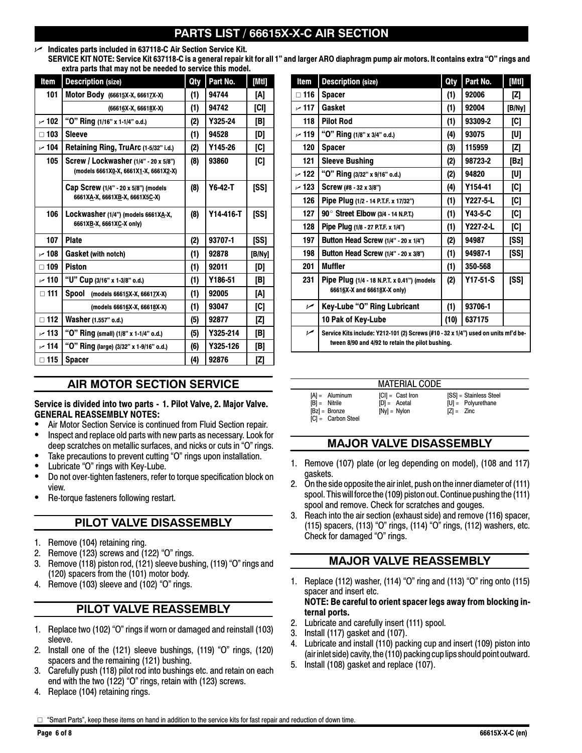# **S LIST / 66615X-X-C AIR SECTION**

## n **Indicates parts included in 637118-C Air Section Service Kit.**

**SERVICE KIT NOTE: Service Kit 637118-C is a general repair kit for all 1" and larger ARO diaphragm pump air motors. It contains extra "O" rings and extra parts that may not be needed to service this model.**

| Item          | <b>Description (size)</b>               | Qty | Part No.  | [[Mt]] | Item       | <b>Description (size)</b>                                                         | Qty  | Part No. | [Mtl]                                                                                                                                                                   |
|---------------|-----------------------------------------|-----|-----------|--------|------------|-----------------------------------------------------------------------------------|------|----------|-------------------------------------------------------------------------------------------------------------------------------------------------------------------------|
| 101           | Motor Body (66615X-X, 66617X-X)         | (1) | 94744     | [A]    | $\Box$ 116 | <b>Spacer</b>                                                                     | (1)  | 92006    | $[Z] % \centering \includegraphics[width=0.9\columnwidth]{figures/fig_10.pdf} \caption{The figure shows the number of parameters in the left and right.} \label{fig:2}$ |
|               | (66616X-X, 66618X-X)                    | (1) | 94742     | [CI]   | ~117       | Gasket                                                                            | (1)  | 92004    | [B/Ny                                                                                                                                                                   |
| ~102          | "O" Ring (1/16" x 1-1/4" o.d.)          | (2) | Y325-24   | [B]    | 118        | <b>Pilot Rod</b>                                                                  | (1)  | 93309-2  | [C]                                                                                                                                                                     |
| $\Box$ 103    | <b>Sleeve</b>                           | (1) | 94528     | [D]    | $\sim$ 119 | "O" Ring (1/8" x 3/4" o.d.)                                                       | (4)  | 93075    | [U]                                                                                                                                                                     |
| $~\prime$ 104 | Retaining Ring, TruArc (1-5/32" i.d.)   | (2) | Y145-26   | [C]    | 120        | <b>Spacer</b>                                                                     | (3)  | 115959   | $[Z] % \centering \includegraphics[width=0.9\columnwidth]{figures/fig_10.pdf} \caption{The figure shows the number of parameters in the left and right.} \label{fig:2}$ |
| 105           | Screw / Lockwasher (1/4" - 20 x 5/8")   | (8) | 93860     | [C]    | 121        | <b>Sleeve Bushing</b>                                                             | (2)  | 98723-2  | [Bz]                                                                                                                                                                    |
|               | (models 6661X0-X, 6661X1-X, 6661X2-X)   |     |           |        | ~122       | "O" Ring (3/32" x 9/16" o.d.)                                                     | (2)  | 94820    | [U]                                                                                                                                                                     |
|               | Cap Screw (1/4" - 20 x 5/8") (models    | (8) | Y6-42-T   | [SS]   | ~123       | Screw $(#8 - 32 \times 3/8")$                                                     | (4)  | Y154-41  | [C]                                                                                                                                                                     |
|               | 6661XA-X, 6661XB-X, 6661X5C-X)          |     |           |        | 126        | Pipe Plug (1/2 - 14 P.T.F. x 17/32")                                              | (1)  | Y227-5-L | [C]                                                                                                                                                                     |
| 106           | Lockwasher (1/4") (models 6661XA-X,     | (8) | Y14-416-T | [SS]   | 127        | 90° Street Elbow (3/4 - 14 N.P.T.)                                                | (1)  | Y43-5-C  | [C]                                                                                                                                                                     |
|               | 6661XB-X, 6661XC-X only)                |     |           |        | 128        | <b>Pipe Plug (1/8 - 27 P.T.F. x 1/4")</b>                                         | (1)  | Y227-2-L | [C]                                                                                                                                                                     |
| 107           | <b>Plate</b>                            | (2) | 93707-1   | [SS]   | 197        | Button Head Screw (1/4" - 20 x 1/4")                                              | (2)  | 94987    | [SS]                                                                                                                                                                    |
| $\sim$ 108    | <b>Gasket (with notch)</b>              | (1) | 92878     | [B/Ny] | 198        | Button Head Screw (1/4" - 20 x 3/8")                                              | (1)  | 94987-1  | [SS]                                                                                                                                                                    |
| $\square$ 109 | <b>Piston</b>                           | (1) | 92011     | [D]    | 201        | Muffler                                                                           | (1)  | 350-568  |                                                                                                                                                                         |
| ~110          | "U" Cup (3/16" x 1-3/8" o.d.)           | (1) | Y186-51   | [B]    | 231        | Pipe Plug (1/4 - 18 N.P.T. x 0.41") (models<br>66616X-X and 66618X-X only)        |      | Y17-51-S | [SS]                                                                                                                                                                    |
| $\Box$ 111    | Spool (models 66615X-X, 66617X-X)       | (1) | 92005     | [A]    |            |                                                                                   |      |          |                                                                                                                                                                         |
|               | (models 66616X-X, 66618X-X)             | (1) | 93047     | [C]    | مما        | Key-Lube "O" Ring Lubricant                                                       | (1)  | 93706-1  |                                                                                                                                                                         |
| $\square$ 112 | Washer (1.557" o.d.)                    | (5) | 92877     | [Z]    |            | 10 Pak of Key-Lube                                                                | (10) | 637175   |                                                                                                                                                                         |
| ~113          | "O" Ring (small) (1/8" x 1-1/4" o.d.)   | (5) | Y325-214  | [B]    | مما        | Service Kits include: Y212-101 (2) Screws (#10 - 32 x 1/4") used on units mf'd be |      |          |                                                                                                                                                                         |
| $\sim$ 114    | "O" Ring (large) (3/32" x 1-9/16" o.d.) | (6) | Y325-126  | [B]    |            | tween 8/90 and 4/92 to retain the pilot bushing.                                  |      |          |                                                                                                                                                                         |
| $\Box$ 115    | <b>Spacer</b>                           | (4) | 92876     | [Z]    |            |                                                                                   |      |          |                                                                                                                                                                         |

## **AIR MOTOR SECTION SERVICE**

#### **Service is divided into two parts - 1. Pilot Valve, 2. Major Valve. GENERAL REASSEMBLY NOTES:**

- Air Motor Section Service is continued from Fluid Section repair.
- Inspect and replace old parts with new parts as necessary. Look for deep scratches on metallic surfaces, and nicks or cuts in "O" rings.
- Take precautions to prevent cutting "O" rings upon installation.
- Lubricate "O" rings with Key-Lube.
- Do not over-tighten fasteners, refer to torque specification block on view.
- Re-torque fasteners following restart.

## **PILOT VALVE DISASSEMBLY**

- 1. Remove (104) retaining ring.
- 2. Remove (123) screws and (122) "O" rings.
- 3. Remove (118) piston rod, (121) sleeve bushing, (119) "O" rings and (120) spacers from the (101) motor body.
- 4. Remove (103) sleeve and (102) "O" rings.

## **PILOT VALVE REASSEMBLY**

- 1. Replace two (102) "O" rings if worn or damaged and reinstall (103) sleeve.
- 2. Install one of the (121) sleeve bushings, (119) "O" rings, (120) spacers and the remaining (121) bushing.
- 3. Carefully push (118) pilot rod into bushings etc. and retain on each end with the two (122) "O" rings, retain with (123) screws.
- 4. Replace (104) retaining rings.

| Item           | <b>Description (size)</b>                                                                                                              | Qty  | Part No.       | [Mtl]       |
|----------------|----------------------------------------------------------------------------------------------------------------------------------------|------|----------------|-------------|
| $\Box$ 116     | <b>Spacer</b>                                                                                                                          | (1)  | 92006          | [Z]         |
| 117 س          | Gasket                                                                                                                                 | (1)  | 92004          | [B/Ny]      |
| 118            | <b>Pilot Rod</b>                                                                                                                       | (1)  | 93309-2        | [C]         |
| ~119           | "O" Ring (1/8" x 3/4" o.d.)                                                                                                            | (4)  | 93075          | [U]         |
| 120            | <b>Spacer</b>                                                                                                                          | (3)  | 115959         | [Z]         |
| 121            | <b>Sleeve Bushing</b>                                                                                                                  | (2)  | 98723-2        | [Bz]        |
| ~122           | "O" Ring (3/32" x 9/16" o.d.)                                                                                                          | (2)  | 94820          | [U]         |
| ~123           | Screw (#8 - 32 x 3/8")                                                                                                                 | (4)  | Y154-41        | [C]         |
| 126            | Pipe Plug (1/2 - 14 P.T.F. x 17/32")                                                                                                   | (1)  | $Y227 - 5 - L$ | [C]         |
| 127            | 90° Street Elbow (3/4 - 14 N.P.T.)                                                                                                     | (1)  | Y43-5-C        | [C]         |
| 128            | Pipe Plug (1/8 - 27 P.T.F. x 1/4")                                                                                                     | (1)  | Y227-2-L       | [C]         |
| 197            | Button Head Screw (1/4" - 20 x 1/4")                                                                                                   | (2)  | 94987          | <b>ISSI</b> |
| 198            | Button Head Screw (1/4" - 20 x 3/8")                                                                                                   | (1)  | 94987-1        | [SS]        |
| 201            | <b>Muffler</b>                                                                                                                         | (1)  | 350-568        |             |
| 231            | Pipe Plug (1/4 - 18 N.P.T. x 0.41") (models<br>66616X-X and 66618X-X only)                                                             | (2)  | $Y17-51-S$     | [SS]        |
| $\overline{v}$ | Key-Lube "O" Ring Lubricant                                                                                                            | (1)  | 93706-1        |             |
|                | 10 Pak of Key-Lube                                                                                                                     | (10) | 637175         |             |
| ممر            | Service Kits include: Y212-101 (2) Screws (#10 - 32 x 1/4") used on units mf'd be-<br>tween 8/90 and 4/92 to retain the pilot bushing. |      |                |             |

|                                                                                | <b>MATERIAL CODE</b>                                          |                                                                |
|--------------------------------------------------------------------------------|---------------------------------------------------------------|----------------------------------------------------------------|
| $[A] =$ Aluminum<br>$[B] =$ Nitrile<br>$[Bz] = Bronze$<br>$ C  =$ Carbon Steel | $ CI  =$ Cast Iron<br>$[D] = \text{Acetal}$<br>$[Ny] = Nylon$ | [SS] = Stainless Steel<br>$[U] =$ Polyurethane<br>$ Z  = Zinc$ |

## **MAJOR VALVE DISASSEMBLY**

- 1. Remove (107) plate (or leg depending on model), (108 and 117) gaskets.
- 2. On the side opposite the air inlet, push on the inner diameter of(111) spool. This will force the (109) piston out. Continue pushing the (111) spool and remove. Check for scratches and gouges.
- 3. Reach into the air section (exhaust side) and remove (116) spacer, (115) spacers, (113) "O" rings, (114) "O" rings, (112) washers, etc. Check for damaged "O" rings.

## **MAJOR VALVE REASSEMBLY**

1. Replace (112) washer, (114) "O" ring and (113) "O" ring onto (115) spacer and insert etc.

**NOTE: Be careful to orient spacer legs away from blocking internal ports.**

- 2. Lubricate and carefully insert (111) spool.
- 3. Install (117) gasket and (107).
- 4. Lubricate and install (110) packing cup and insert (109) piston into (air inlet side) cavity, the(110) packing cup lips should point outward.
- 5. Install (108) gasket and replace (107).

"Smart Parts", keep these items on hand in addition to the service kits for fast repair and reduction of down time.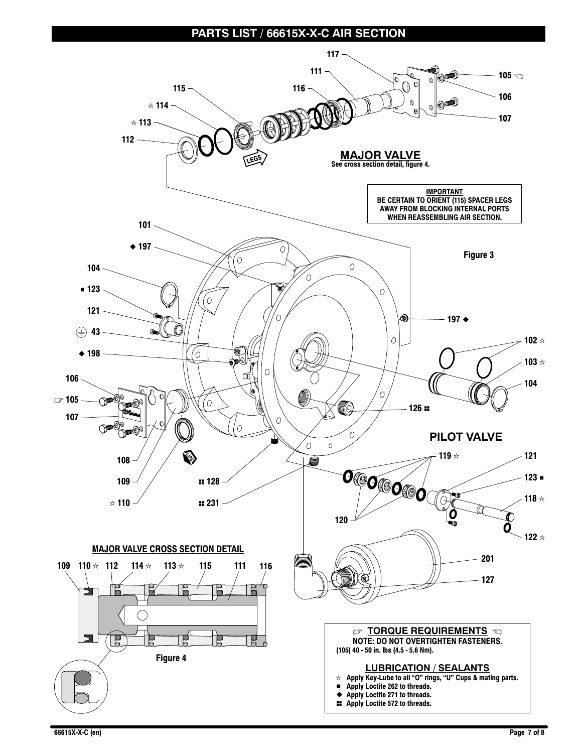## **PARTS LIST / 66615X-X-C AIR SECTION**